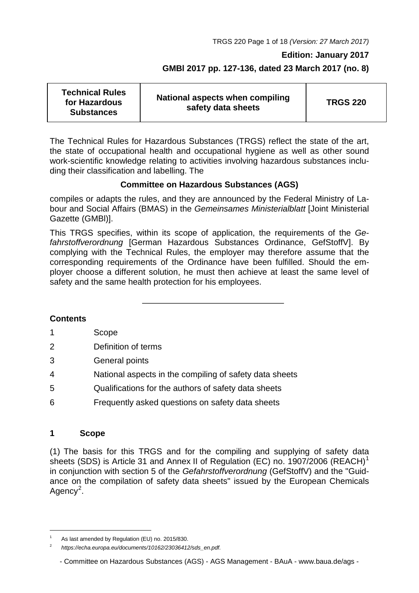TRGS 220 Page 1 of 18 *(Version: 27 March 2017)*

#### **Edition: January 2017**

## **GMBl 2017 pp. 127-136, dated 23 March 2017 (no. 8)**

| <b>Technical Rules</b><br>for Hazardous<br><b>Substances</b> | National aspects when compiling<br>safety data sheets | <b>TRGS 220</b> |
|--------------------------------------------------------------|-------------------------------------------------------|-----------------|
|--------------------------------------------------------------|-------------------------------------------------------|-----------------|

The Technical Rules for Hazardous Substances (TRGS) reflect the state of the art, the state of occupational health and occupational hygiene as well as other sound work-scientific knowledge relating to activities involving hazardous substances including their classification and labelling. The

## **Committee on Hazardous Substances (AGS)**

compiles or adapts the rules, and they are announced by the Federal Ministry of Labour and Social Affairs (BMAS) in the *Gemeinsames Ministerialblatt* [Joint Ministerial Gazette (GMBl)].

This TRGS specifies, within its scope of application, the requirements of the *Gefahrstoffverordnung* [German Hazardous Substances Ordinance, GefStoffV]. By complying with the Technical Rules, the employer may therefore assume that the corresponding requirements of the Ordinance have been fulfilled. Should the employer choose a different solution, he must then achieve at least the same level of safety and the same health protection for his employees.

## **Contents**

- 1 Scope
- 2 Definition of terms
- 3 General points
- 4 National aspects in the compiling of safety data sheets
- 5 Qualifications for the authors of safety data sheets
- 6 Frequently asked questions on safety data sheets

## **1 Scope**

-

(1) The basis for this TRGS and for the compiling and supplying of safety data sheets (SDS) is Article 3[1](#page-0-0) and Annex II of Regulation (EC) no. 1907/2006 (REACH)<sup>1</sup> in conjunction with section 5 of the *Gefahrstoffverordnung* (GefStoffV) and the "Guidance on the compilation of safety data sheets" issued by the European Chemicals Agency<sup>[2](#page-0-1)</sup>.

<span id="page-0-0"></span>As last amended by Regulation (EU) no. 2015/830.

<span id="page-0-1"></span><sup>2</sup> *[https://echa.europa.eu/documents/10162/23036412/sds\\_en.pdf.](https://echa.europa.eu/documents/10162/23036412/sds_en.pdf)*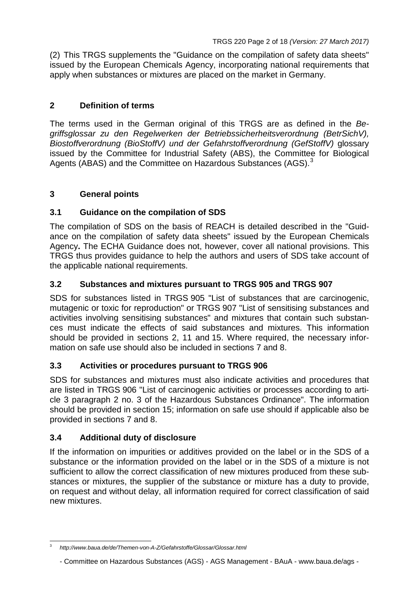(2) This TRGS supplements the "Guidance on the compilation of safety data sheets" issued by the European Chemicals Agency, incorporating national requirements that apply when substances or mixtures are placed on the market in Germany.

## **2 Definition of terms**

The terms used in the German original of this TRGS are as defined in the *Begriffsglossar zu den Regelwerken der Betriebssicherheitsverordnung (BetrSichV), Biostoffverordnung (BioStoffV) und der Gefahrstoffverordnung (GefStoffV)* glossary issued by the Committee for Industrial Safety (ABS), the Committee for Biological Agents (ABAS) and the Committee on Hazardous Substances (AGS).<sup>[3](#page-1-0)</sup>

## **3 General points**

## **3.1 Guidance on the compilation of SDS**

The compilation of SDS on the basis of REACH is detailed described in the "Guidance on the compilation of safety data sheets" issued by the European Chemicals Agency**.** The ECHA Guidance does not, however, cover all national provisions. This TRGS thus provides guidance to help the authors and users of SDS take account of the applicable national requirements.

## **3.2 Substances and mixtures pursuant to TRGS 905 and TRGS 907**

SDS for substances listed in TRGS 905 "List of substances that are carcinogenic, mutagenic or toxic for reproduction" or TRGS 907 "List of sensitising substances and activities involving sensitising substances" and mixtures that contain such substances must indicate the effects of said substances and mixtures. This information should be provided in sections 2, 11 and 15. Where required, the necessary information on safe use should also be included in sections 7 and 8.

## **3.3 Activities or procedures pursuant to TRGS 906**

SDS for substances and mixtures must also indicate activities and procedures that are listed in TRGS 906 "List of carcinogenic activities or processes according to article 3 paragraph 2 no. 3 of the Hazardous Substances Ordinance". The information should be provided in section 15; information on safe use should if applicable also be provided in sections 7 and 8.

## **3.4 Additional duty of disclosure**

If the information on impurities or additives provided on the label or in the SDS of a substance or the information provided on the label or in the SDS of a mixture is not sufficient to allow the correct classification of new mixtures produced from these substances or mixtures, the supplier of the substance or mixture has a duty to provide, on request and without delay, all information required for correct classification of said new mixtures.

<span id="page-1-0"></span><sup>3</sup> *<http://www.baua.de/de/Themen-von-A-Z/Gefahrstoffe/Glossar/Glossar.html>*

<sup>-</sup> Committee on Hazardous Substances (AGS) - AGS Management - BAuA - [www.baua.de/ags -](http://www.baua.de/ags)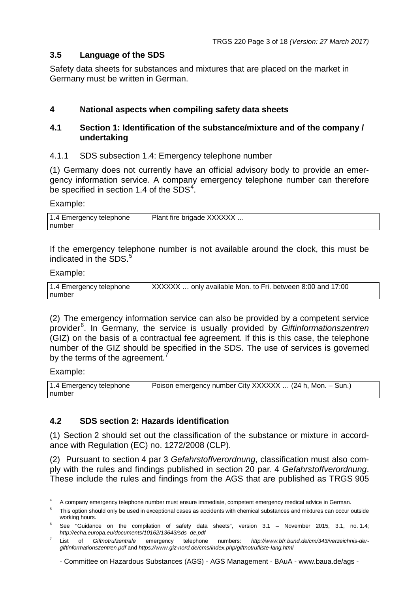## **3.5 Language of the SDS**

Safety data sheets for substances and mixtures that are placed on the market in Germany must be written in German.

## **4 National aspects when compiling safety data sheets**

## **4.1 Section 1: Identification of the substance/mixture and of the company / undertaking**

4.1.1 SDS subsection 1.4: Emergency telephone number

(1) Germany does not currently have an official advisory body to provide an emergency information service. A company emergency telephone number can therefore be specified in section 1.[4](#page-2-0) of the  $SDS<sup>4</sup>$ .

#### Example:

| 1.4 Emergency telephone | Plant fire brigade XXXXXX |
|-------------------------|---------------------------|
| number                  |                           |

If the emergency telephone number is not available around the clock, this must be indicated in the SDS.<sup>[5](#page-2-1)</sup>

#### Example:

| 1.4 Emergency telephone | XXXXXX  only available Mon. to Fri. between 8:00 and 17:00 |
|-------------------------|------------------------------------------------------------|
| number                  |                                                            |

(2) The emergency information service can also be provided by a competent service provider[6](#page-2-2) . In Germany, the service is usually provided by *Giftinformationszentren* (GIZ) on the basis of a contractual fee agreement. If this is this case, the telephone number of the GIZ should be specified in the SDS. The use of services is governed by the terms of the agreement.<sup>[7](#page-2-3)</sup>

Example:

| 1.4 Emergency telephone | Poison emergency number City XXXXXX  (24 h, Mon. - Sun.) |
|-------------------------|----------------------------------------------------------|
| number                  |                                                          |

## **4.2 SDS section 2: Hazards identification**

(1) Section 2 should set out the classification of the substance or mixture in accordance with Regulation (EC) no. 1272/2008 (CLP).

(2) Pursuant to section 4 par 3 *Gefahrstoffverordnung*, classification must also comply with the rules and findings published in section 20 par. 4 *Gefahrstoffverordnung*. These include the rules and findings from the AGS that are published as TRGS 905

<sup>4</sup> A company emergency telephone number must ensure immediate, competent emergency medical advice in German.

<span id="page-2-1"></span><span id="page-2-0"></span><sup>&</sup>lt;sup>5</sup> This option should only be used in exceptional cases as accidents with chemical substances and mixtures can occur outside working hours.

<span id="page-2-2"></span><sup>&</sup>lt;sup>6</sup> See "Guidance on the compilation of safety data sheets", version 3.1 - November 2015, 3.1, no. 1.4; *[http://echa.europa.eu/documents/10162/13643/sds\\_de.pdf](http://echa.europa.eu/documents/10162/13643/sds_de.pdf)*

<span id="page-2-3"></span><sup>7</sup> List of *Giftnotrufzentrale* emergency telephone numbers: *[http://www.bfr.bund.de/cm/343/verzeichnis-der](http://www.bfr.bund.de/cm/343/verzeichnis-der-giftinformationszentren.pdf)[giftinformationszentren.pdf](http://www.bfr.bund.de/cm/343/verzeichnis-der-giftinformationszentren.pdf)* and *[https://www.giz-nord.de/cms/index.php/giftnotrufliste-lang.html](http://www.bfr.bund.de/cm/343/verzeichnis-der-giftinformationszentren.pdf)*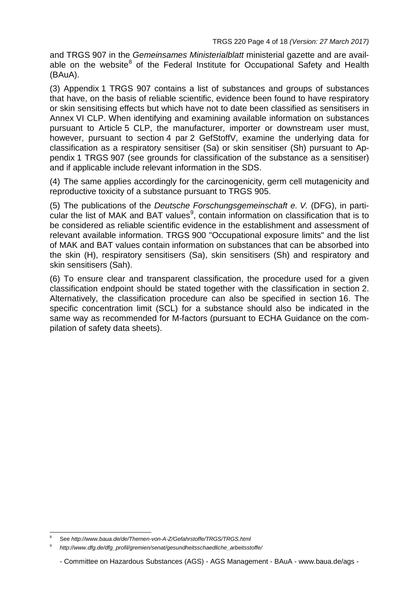and TRGS 907 in the *Gemeinsames Ministerialblatt* ministerial gazette and are avail-able on the website<sup>[8](#page-3-0)</sup> of the Federal Institute for Occupational Safety and Health (BAuA).

(3) Appendix 1 TRGS 907 contains a list of substances and groups of substances that have, on the basis of reliable scientific, evidence been found to have respiratory or skin sensitising effects but which have not to date been classified as sensitisers in Annex VI CLP. When identifying and examining available information on substances pursuant to Article 5 CLP, the manufacturer, importer or downstream user must, however, pursuant to section 4 par 2 GefStoffV, examine the underlying data for classification as a respiratory sensitiser (Sa) or skin sensitiser (Sh) pursuant to Appendix 1 TRGS 907 (see grounds for classification of the substance as a sensitiser) and if applicable include relevant information in the SDS.

(4) The same applies accordingly for the carcinogenicity, germ cell mutagenicity and reproductive toxicity of a substance pursuant to TRGS 905.

(5) The publications of the *Deutsche Forschungsgemeinschaft e. V.* (DFG), in parti-cular the list of MAK and BAT values<sup>[9](#page-3-1)</sup>, contain information on classification that is to be considered as reliable scientific evidence in the establishment and assessment of relevant available information. TRGS 900 "Occupational exposure limits" and the list of MAK and BAT values contain information on substances that can be absorbed into the skin (H), respiratory sensitisers (Sa), skin sensitisers (Sh) and respiratory and skin sensitisers (Sah).

(6) To ensure clear and transparent classification, the procedure used for a given classification endpoint should be stated together with the classification in section 2. Alternatively, the classification procedure can also be specified in section 16. The specific concentration limit (SCL) for a substance should also be indicated in the same way as recommended for M-factors (pursuant to ECHA Guidance on the compilation of safety data sheets).

<span id="page-3-1"></span><span id="page-3-0"></span><sup>8</sup> See *<http://www.baua.de/de/Themen-von-A-Z/Gefahrstoffe/TRGS/TRGS.html>*

<sup>9</sup> *[http://www.dfg.de/dfg\\_profil/gremien/senat/gesundheitsschaedliche\\_arbeitsstoffe/](http://www.baua.de/de/Themen-von-A-Z/Gefahrstoffe/TRGS/TRGS.html)*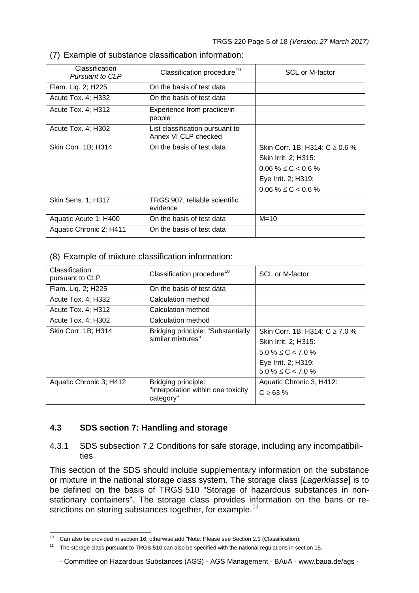- Classification<br>Pursuant to CLP Classification procedure<sup>[10](#page-4-1)</sup> | SCL or M-factor Flam. Liq. 2; H225 **On the basis of test data** Acute Tox. 4: H332 | On the basis of test data Acute Tox. 4; H312 Experience from practice/in people Acute Tox. 4; H302 List classification pursuant to Annex VI CLP checked Skin Corr. 1B; H314 On the basis of test data Skin Corr. 1B; H314: C  $\geq 0.6$  % Skin Irrit. 2; H315:  $0.06\% \le C < 0.6\%$ Eye Irrit. 2; H319:  $0.06 \% \le C < 0.6 \%$ Skin Sens. 1; H317 | TRGS 907, reliable scientific evidence Aquatic Acute 1; H400 <br> On the basis of test data M=10 Aquatic Chronic 2; H411 On the basis of test data
- <span id="page-4-0"></span>(7) Example of substance classification information:

(8) Example of mixture classification information:

| Classification<br>pursuant to CLP | Classification procedure <sup>10</sup>                  | <b>SCL or M-factor</b>             |
|-----------------------------------|---------------------------------------------------------|------------------------------------|
| Flam. Liq. 2; H225                | On the basis of test data                               |                                    |
| Acute Tox. 4; H332                | Calculation method                                      |                                    |
| Acute Tox. 4; H312                | Calculation method                                      |                                    |
| Acute Tox. 4; H302                | Calculation method                                      |                                    |
| Skin Corr. 1B; H314               | Bridging principle: "Substantially<br>similar mixtures" | Skin Corr. 1B; H314: $C \ge 7.0$ % |
|                                   |                                                         | Skin Irrit. 2; H315:               |
|                                   |                                                         | $5.0\% \le C < 7.0\%$              |
|                                   |                                                         | Eye Irrit. 2; H319:                |
|                                   |                                                         | $5.0\% \le C < 7.0\%$              |
| Aquatic Chronic 3; H412           | Bridging principle:                                     | Aquatic Chronic 3, H412:           |
|                                   | "Interpolation within one toxicity<br>category"         | $C \ge 63 \%$                      |

# **4.3 SDS section 7: Handling and storage**

4.3.1 SDS subsection 7.2 Conditions for safe storage, including any incompatibilities

This section of the SDS should include supplementary information on the substance or mixture in the national storage class system. The storage class [*Lagerklasse*] is to be defined on the basis of TRGS 510 "Storage of hazardous substances in nonstationary containers". The storage class provides information on the bans or re-strictions on storing substances together, for example.<sup>[11](#page-4-2)</sup>

Can also be provided in section 16; otherwise,add "Note: Please see Section 2.1 (Classification).

<span id="page-4-2"></span><span id="page-4-1"></span><sup>&</sup>lt;sup>11</sup> The storage class pursuant to TRGS 510 can also be specified with the national regulations in section 15.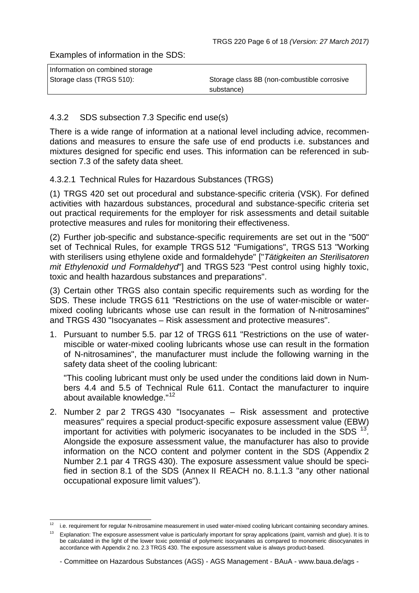Examples of information in the SDS:

| Information on combined storage |                                             |
|---------------------------------|---------------------------------------------|
| Storage class (TRGS 510):       | Storage class 8B (non-combustible corrosive |
|                                 | substance)                                  |

## 4.3.2 SDS subsection 7.3 Specific end use(s)

There is a wide range of information at a national level including advice, recommendations and measures to ensure the safe use of end products i.e. substances and mixtures designed for specific end uses. This information can be referenced in subsection 7.3 of the safety data sheet.

## 4.3.2.1 Technical Rules for Hazardous Substances (TRGS)

(1) TRGS 420 set out procedural and substance-specific criteria (VSK). For defined activities with hazardous substances, procedural and substance-specific criteria set out practical requirements for the employer for risk assessments and detail suitable protective measures and rules for monitoring their effectiveness.

(2) Further job-specific and substance-specific requirements are set out in the "500" set of Technical Rules, for example TRGS 512 "Fumigations", TRGS 513 "Working with sterilisers using ethylene oxide and formaldehyde" ["*Tätigkeiten an Sterilisatoren mit Ethylenoxid und Formaldehyd*"] and TRGS 523 "Pest control using highly toxic, toxic and health hazardous substances and preparations".

(3) Certain other TRGS also contain specific requirements such as wording for the SDS. These include TRGS 611 "Restrictions on the use of water-miscible or watermixed cooling lubricants whose use can result in the formation of N-nitrosamines" and TRGS 430 "Isocyanates – Risk assessment and protective measures".

1. Pursuant to number 5.5. par 12 of TRGS 611 "Restrictions on the use of watermiscible or water-mixed cooling lubricants whose use can result in the formation of N-nitrosamines", the manufacturer must include the following warning in the safety data sheet of the cooling lubricant:

"This cooling lubricant must only be used under the conditions laid down in Numbers 4.4 and 5.5 of Technical Rule 611. Contact the manufacturer to inquire about available knowledge."<sup>[12](#page-5-0)</sup>

2. Number 2 par 2 TRGS 430 "Isocyanates – Risk assessment and protective measures" requires a special product-specific exposure assessment value (EBW) important for activities with polymeric isocyanates to be included in the SDS  $13'$  $13'$ . Alongside the exposure assessment value, the manufacturer has also to provide information on the NCO content and polymer content in the SDS (Appendix 2 Number 2.1 par 4 TRGS 430). The exposure assessment value should be specified in section 8.1 of the SDS (Annex II REACH no. 8.1.1.3 "any other national occupational exposure limit values").

<span id="page-5-1"></span><span id="page-5-0"></span>i.e. requirement for regular N-nitrosamine measurement in used water-mixed cooling lubricant containing secondary amines.

<sup>13</sup> Explanation: The exposure assessment value is particularly important for spray applications (paint, varnish and glue). It is to be calculated in the light of the lower toxic potential of polymeric isocyanates as compared to monomeric diisocyanates in accordance with Appendix 2 no. 2.3 TRGS 430. The exposure assessment value is always product-based.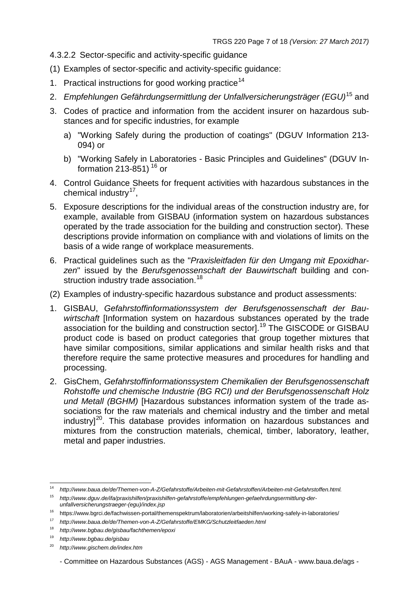- 4.3.2.2 Sector-specific and activity-specific guidance
- (1) Examples of sector-specific and activity-specific guidance:
- 1. Practical instructions for good working practice<sup>[14](#page-6-0)</sup>
- 2. *Empfehlungen Gefährdungsermittlung der Unfallversicherungsträger (EGU)*[15](#page-6-1) and
- 3. Codes of practice and information from the accident insurer on hazardous substances and for specific industries, for example
	- a) "Working Safely during the production of coatings" (DGUV Information 213- 094) or
	- b) "Working Safely in Laboratories Basic Principles and Guidelines" (DGUV Information 213-851)  $16$  or
- 4. Control Guidance Sheets for frequent activities with hazardous substances in the chemical industry $17$ ,
- 5. Exposure descriptions for the individual areas of the construction industry are, for example, available from GISBAU (information system on hazardous substances operated by the trade association for the building and construction sector). These descriptions provide information on compliance with and violations of limits on the basis of a wide range of workplace measurements.
- 6. Practical guidelines such as the "*Praxisleitfaden für den Umgang mit Epoxidharzen*" issued by the *Berufsgenossenschaft der Bauwirtschaft* building and con-struction industry trade association.<sup>[18](#page-6-4)</sup>
- (2) Examples of industry-specific hazardous substance and product assessments:
- <span id="page-6-7"></span>1. GISBAU, *Gefahrstoffinformationssystem der Berufsgenossenschaft der Bauwirtschaft* [Information system on hazardous substances operated by the trade association for the building and construction sector].[19](#page-6-5) The GISCODE or GISBAU product code is based on product categories that group together mixtures that have similar compositions, similar applications and similar health risks and that therefore require the same protective measures and procedures for handling and processing.
- 2. GisChem, *Gefahrstoffinformationssystem Chemikalien der Berufsgenossenschaft Rohstoffe und chemische Industrie (BG RCI) und der Berufsgenossenschaft Holz und Metall (BGHM)* [Hazardous substances information system of the trade associations for the raw materials and chemical industry and the timber and metal industry<sup>[20](#page-6-6)</sup>. This database provides information on hazardous substances and mixtures from the construction materials, chemical, timber, laboratory, leather, metal and paper industries.

<span id="page-6-0"></span><sup>14</sup> *[http://www.baua.de/de/Themen-von-A-Z/Gefahrstoffe/Arbeiten-mit-Gefahrstoffen/Arbeiten-mit-Gefahrstoffen.html.](http://www.baua.de/de/Themen-von-A-Z/Gefahrstoffe/Arbeiten-mit-Gefahrstoffen/Arbeiten-mit-Gefahrstoffen.html)* <sup>15</sup> *[http://www.dguv.de/ifa/praxishilfen/praxishilfen-gefahrstoffe/empfehlungen-gefaehrdungsermittlung-der-](http://www.dguv.de/ifa/praxishilfen/praxishilfen-gefahrstoffe/empfehlungen-gefaehrdungsermittlung-der-unfallversicherungstraeger-(egu)/index.jsp)*

*[unfallversicherungstraeger-\(egu\)/index.jsp](http://www.dguv.de/ifa/praxishilfen/praxishilfen-gefahrstoffe/empfehlungen-gefaehrdungsermittlung-der-unfallversicherungstraeger-(egu)/index.jsp)*

<span id="page-6-1"></span><sup>16</sup> <https://www.bgrci.de/fachwissen-portal/themenspektrum/laboratorien/arbeitshilfen/working-safely-in-laboratories/>

<span id="page-6-2"></span><sup>17</sup> *<http://www.baua.de/de/Themen-von-A-Z/Gefahrstoffe/EMKG/Schutzleitfaeden.html>*

<span id="page-6-4"></span><span id="page-6-3"></span><sup>18</sup> *<http://www.bgbau.de/gisbau/fachthemen/epoxi>*

<sup>19</sup> *<http://www.bgbau.de/gisbau>*

<span id="page-6-6"></span><span id="page-6-5"></span><sup>20</sup> *[http://www.gischem.de/index.htm](http://www.bgbau.de/gisbau)*

<sup>-</sup> Committee on Hazardous Substances (AGS) - AGS Management - BAuA - [www.baua.de/ags -](http://www.baua.de/ags)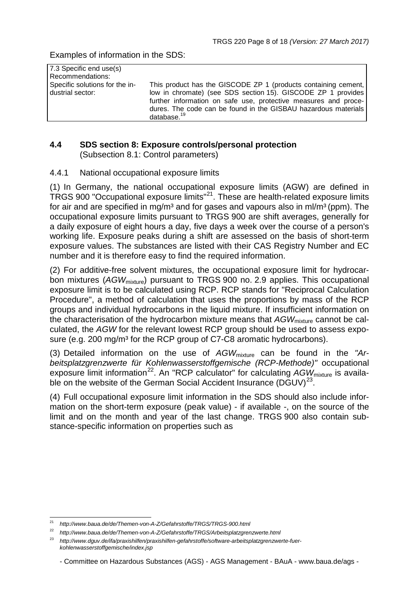Examples of information in the SDS:

| 7.3 Specific end use(s)        |                                                                 |
|--------------------------------|-----------------------------------------------------------------|
| Recommendations:               |                                                                 |
| Specific solutions for the in- | This product has the GISCODE ZP 1 (products containing cement,  |
| dustrial sector:               | low in chromate) (see SDS section 15). GISCODE ZP 1 provides    |
|                                | further information on safe use, protective measures and proce- |
|                                | dures. The code can be found in the GISBAU hazardous materials  |
|                                | database. $19$                                                  |

## **4.4 SDS section 8: Exposure controls/personal protection** (Subsection 8.1: Control parameters)

# 4.4.1 National occupational exposure limits

(1) In Germany, the national occupational exposure limits (AGW) are defined in TRGS 900 "Occupational exposure limits"[21.](#page-7-0) These are health-related exposure limits for air and are specified in mg/m<sup>3</sup> and for gases and vapours also in ml/m<sup>3</sup> (ppm). The occupational exposure limits pursuant to TRGS 900 are shift averages, generally for a daily exposure of eight hours a day, five days a week over the course of a person's working life. Exposure peaks during a shift are assessed on the basis of short-term exposure values. The substances are listed with their CAS Registry Number and EC number and it is therefore easy to find the required information.

(2) For additive-free solvent mixtures, the occupational exposure limit for hydrocarbon mixtures (AGW<sub>mixture</sub>) pursuant to TRGS 900 no. 2.9 applies. This occupational exposure limit is to be calculated using RCP. RCP stands for "Reciprocal Calculation Procedure", a method of calculation that uses the proportions by mass of the RCP groups and individual hydrocarbons in the liquid mixture. If insufficient information on the characterisation of the hydrocarbon mixture means that  $AGW<sub>mixture</sub>$  cannot be calculated, the *AGW* for the relevant lowest RCP group should be used to assess exposure (e.g. 200 mg/m<sup>3</sup> for the RCP group of C7-C8 aromatic hydrocarbons).

(3) Detailed information on the use of *AGW*mixture can be found in the *"Arbeitsplatzgrenzwerte für Kohlenwasserstoffgemische (RCP-Methode)"* occupational exposure limit information<sup>22</sup>. An "RCP calculator" for calculating AGW<sub>mixture</sub> is available on the website of the German Social Accident Insurance  $(DGUV)^{23}$  $(DGUV)^{23}$  $(DGUV)^{23}$ .

(4) Full occupational exposure limit information in the SDS should also include information on the short-term exposure (peak value) - if available -, on the source of the limit and on the month and year of the last change. TRGS 900 also contain substance-specific information on properties such as

<span id="page-7-0"></span><sup>21</sup> *<http://www.baua.de/de/Themen-von-A-Z/Gefahrstoffe/TRGS/TRGS-900.html>*

<span id="page-7-1"></span><sup>22</sup> *<http://www.baua.de/de/Themen-von-A-Z/Gefahrstoffe/TRGS/Arbeitsplatzgrenzwerte.html>*

<span id="page-7-2"></span><sup>23</sup> *[http://www.dguv.de/ifa/praxishilfen/praxishilfen-gefahrstoffe/software-arbeitsplatzgrenzwerte-fuer](http://www.baua.de/de/Themen-von-A-Z/Gefahrstoffe/TRGS/Arbeitsplatzgrenzwerte.html)[kohlenwasserstoffgemische/index.jsp](http://www.baua.de/de/Themen-von-A-Z/Gefahrstoffe/TRGS/Arbeitsplatzgrenzwerte.html)*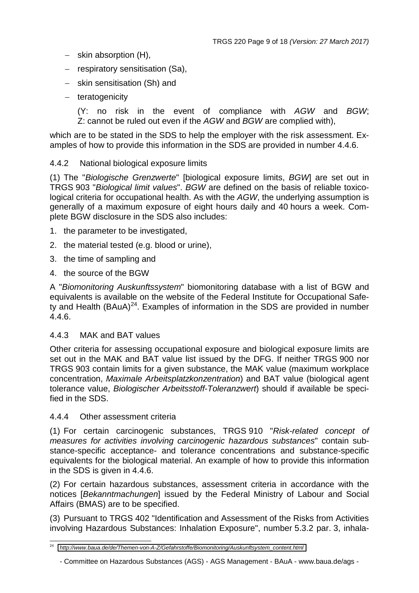- − skin absorption (H),
- − respiratory sensitisation (Sa),
- − skin sensitisation (Sh) and
- − teratogenicity

(Y: no risk in the event of compliance with *AGW* and *BGW*; Z: cannot be ruled out even if the *AGW* and *BGW* are complied with),

which are to be stated in the SDS to help the employer with the risk assessment. Examples of how to provide this information in the SDS are provided in number 4.4.6.

## 4.4.2 National biological exposure limits

(1) The "*Biologische Grenzwerte*" [biological exposure limits, *BGW*] are set out in TRGS 903 "*Biological limit values*". *BGW* are defined on the basis of reliable toxicological criteria for occupational health. As with the *AGW*, the underlying assumption is generally of a maximum exposure of eight hours daily and 40 hours a week. Complete BGW disclosure in the SDS also includes:

- 1. the parameter to be investigated,
- 2. the material tested (e.g. blood or urine),
- 3. the time of sampling and
- 4. the source of the BGW

A "*Biomonitoring Auskunftssystem*" biomonitoring database with a list of BGW and equivalents is available on the website of the Federal Institute for Occupational Safety and Health (BAuA)[24.](#page-8-0) Examples of information in the SDS are provided in number 4.4.6.

## 4.4.3 MAK and BAT values

Other criteria for assessing occupational exposure and biological exposure limits are set out in the MAK and BAT value list issued by the DFG. If neither TRGS 900 nor TRGS 903 contain limits for a given substance, the MAK value (maximum workplace concentration, *Maximale Arbeitsplatzkonzentration*) and BAT value (biological agent tolerance value, *Biologischer Arbeitsstoff-Toleranzwert*) should if available be specified in the SDS.

## 4.4.4 Other assessment criteria

(1) For certain carcinogenic substances, TRGS 910 "*Risk-related concept of measures for activities involving carcinogenic hazardous substances*" contain substance-specific acceptance- and tolerance concentrations and substance-specific equivalents for the biological material. An example of how to provide this information in the SDS is given in 4.4.6.

(2) For certain hazardous substances, assessment criteria in accordance with the notices [*Bekanntmachungen*] issued by the Federal Ministry of Labour and Social Affairs (BMAS) are to be specified.

(3) Pursuant to TRGS 402 "Identification and Assessment of the Risks from Activities involving Hazardous Substances: Inhalation Exposure", number 5.3.2 par. 3, inhala-

<span id="page-8-0"></span><sup>24</sup> *[http://www.baua.de/de/Themen-von-A-Z/Gefahrstoffe/Biomonitoring/Auskunftsystem\\_content.html](https://www.baua.de/DE/Themen/Arbeitsgestaltung-im-Betrieb/Gefahrstoffe/Biomonitoring/Biomonitoring-Auskunftssystem/Biomonitoring-Auskunftssystem_node.html)*

<sup>-</sup> Committee on Hazardous Substances (AGS) - AGS Management - BAuA - [www.baua.de/ags -](http://www.baua.de/ags)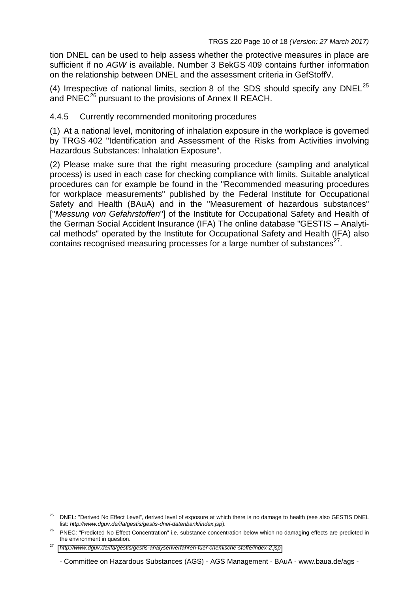tion DNEL can be used to help assess whether the protective measures in place are sufficient if no *AGW* is available. Number 3 BekGS 409 contains further information on the relationship between DNEL and the assessment criteria in GefStoffV.

(4) Irrespective of national limits, section 8 of the SDS should specify any DNEL<sup>[25](#page-9-0)</sup> and PNEC<sup>[26](#page-9-1)</sup> pursuant to the provisions of Annex II REACH.

## 4.4.5 Currently recommended monitoring procedures

(1) At a national level, monitoring of inhalation exposure in the workplace is governed by TRGS 402 "Identification and Assessment of the Risks from Activities involving Hazardous Substances: Inhalation Exposure".

(2) Please make sure that the right measuring procedure (sampling and analytical process) is used in each case for checking compliance with limits. Suitable analytical procedures can for example be found in the "Recommended measuring procedures for workplace measurements" published by the Federal Institute for Occupational Safety and Health (BAuA) and in the "Measurement of hazardous substances" ["*Messung von Gefahrstoffen*"] of the Institute for Occupational Safety and Health of the German Social Accident Insurance (IFA) The online database "GESTIS – Analytical methods" operated by the Institute for Occupational Safety and Health (IFA) also contains recognised measuring processes for a large number of substances<sup>[27](#page-9-2)</sup>.

<span id="page-9-0"></span><sup>&</sup>lt;sup>25</sup> DNEL: "Derived No Effect Level", derived level of exposure at which there is no damage to health (see also GESTIS DNEL list: *<http://www.dguv.de/ifa/gestis/gestis-dnel-datenbank/index.jsp>*).

<span id="page-9-1"></span><sup>&</sup>lt;sup>26</sup> PNEC: "Predicted No Effect Concentration" i.e. substance concentration below which no damaging effects are predicted in the environment in question.

<span id="page-9-2"></span><sup>27</sup> *<http://www.dguv.de/ifa/gestis/gestis-analysenverfahren-fuer-chemische-stoffe/index-2.jsp>*

<sup>-</sup> Committee on Hazardous Substances (AGS) - AGS Management - BAuA - [www.baua.de/ags -](http://www.baua.de/ags)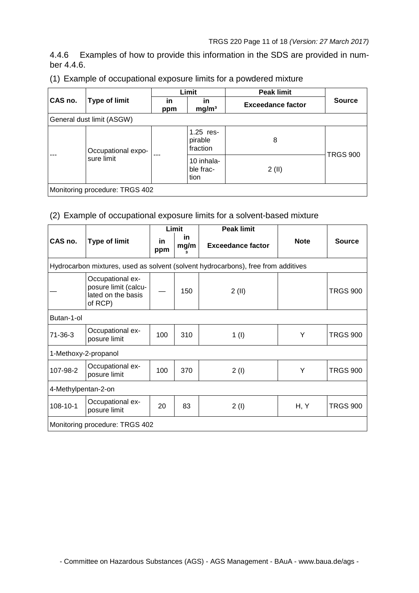4.4.6 Examples of how to provide this information in the SDS are provided in number 4.4.6.

|                                |                           | Limit                                |                                    | <b>Peak limit</b>        | <b>Source</b>   |  |
|--------------------------------|---------------------------|--------------------------------------|------------------------------------|--------------------------|-----------------|--|
| CAS no.                        | Type of limit             | in<br>in<br>mg/m <sup>3</sup><br>ppm |                                    | <b>Exceedance factor</b> |                 |  |
|                                | General dust limit (ASGW) |                                      |                                    |                          |                 |  |
| ---                            | Occupational expo-        | ---                                  | $1.25$ res-<br>pirable<br>fraction | 8                        |                 |  |
|                                | sure limit                |                                      | 10 inhala-<br>ble frac-<br>tion    | 2(II)                    | <b>TRGS 900</b> |  |
| Monitoring procedure: TRGS 402 |                           |                                      |                                    |                          |                 |  |

## (1) Example of occupational exposure limits for a powdered mixture

## (2) Example of occupational exposure limits for a solvent-based mixture

|                      |                                                                           | Limit     |                 | <b>Peak limit</b>                                                                 |             |                 |  |
|----------------------|---------------------------------------------------------------------------|-----------|-----------------|-----------------------------------------------------------------------------------|-------------|-----------------|--|
| CAS no.              | <b>Type of limit</b>                                                      | in<br>ppm | in<br>mg/m<br>3 | <b>Exceedance factor</b>                                                          | <b>Note</b> | <b>Source</b>   |  |
|                      |                                                                           |           |                 | Hydrocarbon mixtures, used as solvent (solvent hydrocarbons), free from additives |             |                 |  |
|                      | Occupational ex-<br>posure limit (calcu-<br>lated on the basis<br>of RCP) |           | 150             | 2(II)                                                                             |             | <b>TRGS 900</b> |  |
| Butan-1-ol           |                                                                           |           |                 |                                                                                   |             |                 |  |
| 71-36-3              | Occupational ex-<br>posure limit                                          | 100       | 310             | 1 <sub>(</sub> 1 <sub>)</sub>                                                     | Y           | <b>TRGS 900</b> |  |
| 1-Methoxy-2-propanol |                                                                           |           |                 |                                                                                   |             |                 |  |
| 107-98-2             | Occupational ex-<br>posure limit                                          | 100       | 370             | 2(1)                                                                              | Y           | <b>TRGS 900</b> |  |
|                      | 4-Methylpentan-2-on                                                       |           |                 |                                                                                   |             |                 |  |
| 108-10-1             | Occupational ex-<br>posure limit                                          | 20        | 83              | 2(1)                                                                              | H, Y        | <b>TRGS 900</b> |  |
|                      | Monitoring procedure: TRGS 402                                            |           |                 |                                                                                   |             |                 |  |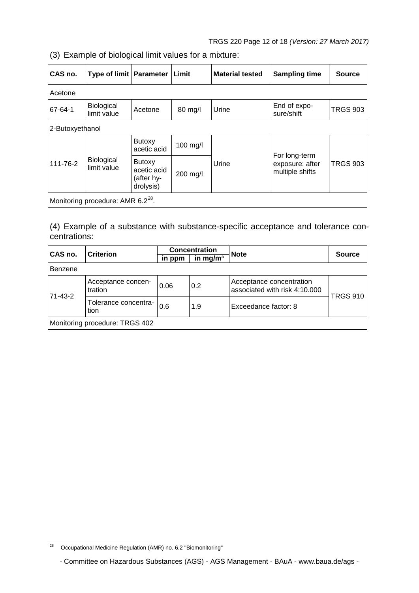(3) Example of biological limit values for a mixture:

| CAS no.                                       | <b>Type of limit Parameter</b> |                                                         | <b>Limit</b>      | <b>Material tested</b> | <b>Sampling time</b>                                | <b>Source</b>   |
|-----------------------------------------------|--------------------------------|---------------------------------------------------------|-------------------|------------------------|-----------------------------------------------------|-----------------|
| Acetone                                       |                                |                                                         |                   |                        |                                                     |                 |
| 67-64-1                                       | Biological<br>limit value      | Acetone                                                 | $80 \text{ mg/l}$ | Urine                  | End of expo-<br>sure/shift                          | <b>TRGS 903</b> |
| 2-Butoxyethanol                               |                                |                                                         |                   |                        |                                                     |                 |
| 111-76-2                                      | Biological<br>limit value      | <b>Butoxy</b><br>acetic acid                            | 100 mg/l          | Urine                  | For long-term<br>exposure: after<br>multiple shifts | <b>TRGS 903</b> |
|                                               |                                | <b>Butoxy</b><br>acetic acid<br>(after hy-<br>drolysis) | 200 mg/l          |                        |                                                     |                 |
| Monitoring procedure: AMR 6.2 <sup>28</sup> . |                                |                                                         |                   |                        |                                                     |                 |

(4) Example of a substance with substance-specific acceptance and tolerance concentrations:

| CAS no. | <b>Criterion</b>               | <b>Concentration</b> |            | <b>Note</b>                                               | <b>Source</b> |
|---------|--------------------------------|----------------------|------------|-----------------------------------------------------------|---------------|
|         |                                | in ppm               | in $mg/m3$ |                                                           |               |
| Benzene |                                |                      |            |                                                           |               |
| 71-43-2 | Acceptance concen-<br>tration  | 0.06                 | 0.2        | Acceptance concentration<br>associated with risk 4:10.000 |               |
|         | Tolerance concentra-<br>l tion | 0.6                  | 1.9        | <b>TRGS 910</b><br>Exceedance factor: 8                   |               |
|         | Monitoring procedure: TRGS 402 |                      |            |                                                           |               |

<span id="page-11-0"></span><sup>28</sup> Occupational Medicine Regulation (AMR) no. 6.2 "Biomonitoring"

<sup>-</sup> Committee on Hazardous Substances (AGS) - AGS Management - BAuA - [www.baua.de/ags -](http://www.baua.de/ags)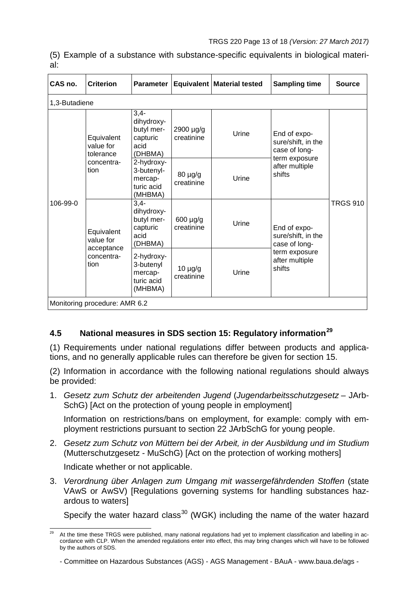(5) Example of a substance with substance-specific equivalents in biological material:

| CAS no.                  | <b>Criterion</b>                                    | <b>Parameter</b>                                                                                              |                            | Equivalent   Material tested | <b>Sampling time</b>                                                                             | <b>Source</b>   |  |  |  |
|--------------------------|-----------------------------------------------------|---------------------------------------------------------------------------------------------------------------|----------------------------|------------------------------|--------------------------------------------------------------------------------------------------|-----------------|--|--|--|
|                          | 1,3-Butadiene                                       |                                                                                                               |                            |                              |                                                                                                  |                 |  |  |  |
| tion<br>106-99-0<br>tion | Equivalent<br>value for<br>tolerance                | $3,4-$<br>dihydroxy-<br>butyl mer-<br>capturic<br>acid<br>(DHBMA)                                             | 2900 µg/g<br>creatinine    | Urine                        | End of expo-<br>sure/shift, in the<br>case of long-<br>term exposure                             |                 |  |  |  |
|                          | concentra-                                          | 2-hydroxy-<br>3-butenyl-<br>shifts<br>$80 \mu g/g$<br>Urine<br>mercap-<br>creatinine<br>turic acid<br>(MHBMA) | after multiple             |                              |                                                                                                  |                 |  |  |  |
|                          | Equivalent<br>value for<br>acceptance<br>concentra- | $3,4-$<br>dihydroxy-<br>butyl mer-<br>capturic<br>acid<br>(DHBMA)                                             | 600 µg/g<br>creatinine     | Urine                        | End of expo-<br>sure/shift, in the<br>case of long-<br>term exposure<br>after multiple<br>shifts | <b>TRGS 910</b> |  |  |  |
|                          |                                                     | 2-hydroxy-<br>3-butenyl<br>mercap-<br>turic acid<br>(MHBMA)                                                   | $10 \mu g/g$<br>creatinine | Urine                        |                                                                                                  |                 |  |  |  |
|                          | Monitoring procedure: AMR 6.2                       |                                                                                                               |                            |                              |                                                                                                  |                 |  |  |  |

# **4.5 National measures in SDS section 15: Regulatory information[29](#page-12-0)**

(1) Requirements under national regulations differ between products and applications, and no generally applicable rules can therefore be given for section 15.

(2) Information in accordance with the following national regulations should always be provided:

1. *Gesetz zum Schutz der arbeitenden Jugend* (*Jugendarbeitsschutzgesetz* – JArb-SchG) [Act on the protection of young people in employment]

Information on restrictions/bans on employment, for example: comply with employment restrictions pursuant to section 22 JArbSchG for young people.

2. *Gesetz zum Schutz von Müttern bei der Arbeit, in der Ausbildung und im Studium* (Mutterschutzgesetz - MuSchG) [Act on the protection of working mothers]

Indicate whether or not applicable.

3. *Verordnung über Anlagen zum Umgang mit wassergefährdenden Stoffen* (state VAwS or AwSV) [Regulations governing systems for handling substances hazardous to waters]

Specify the water hazard class<sup>[30](#page-12-1)</sup> (WGK) including the name of the water hazard

<span id="page-12-1"></span><span id="page-12-0"></span>At the time these TRGS were published, many national regulations had yet to implement classification and labelling in accordance with CLP. When the amended regulations enter into effect, this may bring changes which will have to be followed by the authors of SDS.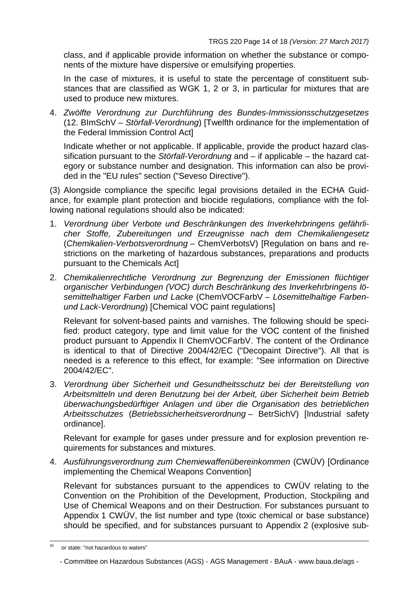class, and if applicable provide information on whether the substance or components of the mixture have dispersive or emulsifying properties.

In the case of mixtures, it is useful to state the percentage of constituent substances that are classified as WGK 1, 2 or 3, in particular for mixtures that are used to produce new mixtures.

4. *Zwölfte Verordnung zur Durchführung des Bundes-Immissionsschutzgesetzes* (12. BImSchV – *Störfall-Verordnung*) [Twelfth ordinance for the implementation of the Federal Immission Control Act]

Indicate whether or not applicable. If applicable, provide the product hazard classification pursuant to the *Störfall-Verordnung* and – if applicable – the hazard category or substance number and designation. This information can also be provided in the "EU rules" section ("Seveso Directive").

(3) Alongside compliance the specific legal provisions detailed in the ECHA Guidance, for example plant protection and biocide regulations, compliance with the following national regulations should also be indicated:

- 1. *Verordnung über Verbote und Beschränkungen des Inverkehrbringens gefährlicher Stoffe, Zubereitungen und Erzeugnisse nach dem Chemikaliengesetz* (*Chemikalien-Verbotsverordnung* – ChemVerbotsV) [Regulation on bans and restrictions on the marketing of hazardous substances, preparations and products pursuant to the Chemicals Act]
- 2. *Chemikalienrechtliche Verordnung zur Begrenzung der Emissionen flüchtiger organischer Verbindungen (VOC) durch Beschränkung des Inverkehrbringens lösemittelhaltiger Farben und Lacke* (ChemVOCFarbV – *Lösemittelhaltige Farbenund Lack-Verordnung*) [Chemical VOC paint regulations]

Relevant for solvent-based paints and varnishes. The following should be specified: product category, type and limit value for the VOC content of the finished product pursuant to Appendix II ChemVOCFarbV. The content of the Ordinance is identical to that of Directive 2004/42/EC ("Decopaint Directive"). All that is needed is a reference to this effect, for example: "See information on Directive 2004/42/EC".

3. *Verordnung über Sicherheit und Gesundheitsschutz bei der Bereitstellung von Arbeitsmitteln und deren Benutzung bei der Arbeit, über Sicherheit beim Betrieb überwachungsbedürftiger Anlagen und über die Organisation des betrieblichen Arbeitsschutzes* (*Betriebssicherheitsverordnung* – BetrSichV) [Industrial safety ordinance].

Relevant for example for gases under pressure and for explosion prevention requirements for substances and mixtures.

4. *Ausführungsverordnung zum Chemiewaffenübereinkommen* (CWÜV) [Ordinance implementing the Chemical Weapons Convention]

Relevant for substances pursuant to the appendices to CWÜV relating to the Convention on the Prohibition of the Development, Production, Stockpiling and Use of Chemical Weapons and on their Destruction. For substances pursuant to Appendix 1 CWÜV, the list number and type (toxic chemical or base substance) should be specified, and for substances pursuant to Appendix 2 (explosive sub-

or state: "not hazardous to waters"

<sup>-</sup> Committee on Hazardous Substances (AGS) - AGS Management - BAuA - [www.baua.de/ags -](http://www.baua.de/ags)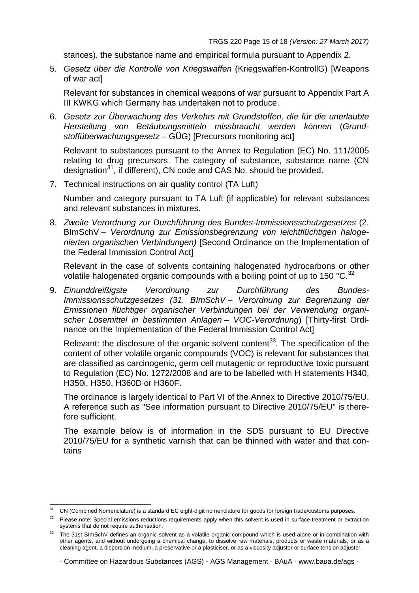stances), the substance name and empirical formula pursuant to Appendix 2.

5. *Gesetz über die Kontrolle von Kriegswaffen* (Kriegswaffen-KontrollG) [Weapons of war act]

Relevant for substances in chemical weapons of war pursuant to Appendix Part A III KWKG which Germany has undertaken not to produce.

6. *Gesetz zur Überwachung des Verkehrs mit Grundstoffen, die für die unerlaubte Herstellung von Betäubungsmitteln missbraucht werden können* (*Grundstoffüberwachungsgesetz* – GÜG) [Precursors monitoring act]

Relevant to substances pursuant to the Annex to Regulation (EC) No. 111/2005 relating to drug precursors. The category of substance, substance name (CN designation<sup>[31](#page-14-0)</sup>, if different), CN code and CAS No. should be provided.

7. Technical instructions on air quality control (TA Luft)

Number and category pursuant to TA Luft (if applicable) for relevant substances and relevant substances in mixtures.

8. *Zweite Verordnung zur Durchführung des Bundes-Immissionsschutzgesetzes* (2. BImSchV – *Verordnung zur Emissionsbegrenzung von leichtflüchtigen halogenierten organischen Verbindungen)* [Second Ordinance on the Implementation of the Federal Immission Control Act]

Relevant in the case of solvents containing halogenated hydrocarbons or other volatile halogenated organic compounds with a boiling point of up to 150  $^{\circ}$ C.<sup>[32](#page-14-1)</sup>

9. *Einunddreißigste Verordnung zur Durchführung des Bundes-Immissionsschutzgesetzes (31. BImSchV – Verordnung zur Begrenzung der Emissionen flüchtiger organischer Verbindungen bei der Verwendung organischer Lösemittel in bestimmten Anlagen – VOC-Verordnung*) [Thirty-first Ordinance on the Implementation of the Federal Immission Control Act]

Relevant: the disclosure of the organic solvent content<sup>[33](#page-14-2)</sup>. The specification of the content of other volatile organic compounds (VOC) is relevant for substances that are classified as carcinogenic, germ cell mutagenic or reproductive toxic pursuant to Regulation (EC) No. 1272/2008 and are to be labelled with H statements H340, H350i, H350, H360D or H360F.

The ordinance is largely identical to Part VI of the Annex to Directive 2010/75/EU. A reference such as "See information pursuant to Directive 2010/75/EU" is therefore sufficient.

The example below is of information in the SDS pursuant to EU Directive 2010/75/EU for a synthetic varnish that can be thinned with water and that contains

<span id="page-14-0"></span><sup>&</sup>lt;sup>31</sup> CN (Combined Nomenclature) is a standard EC eight-digit nomenclature for goods for foreign trade/customs purposes.

<span id="page-14-1"></span><sup>&</sup>lt;sup>32</sup> Please note: Special emissions reductions requirements apply when this solvent is used in surface treatment or extraction systems that do not require authorisation.

<span id="page-14-2"></span><sup>33</sup> The 31st BImSchV defines an organic solvent as a volatile organic compound which is used alone or in combination with other agents, and without undergoing a chemical change, to dissolve raw materials, products or waste materials, or as a cleaning agent, a dispersion medium, a preservative or a plasticiser, or as a viscosity adjuster or surface tension adjuster.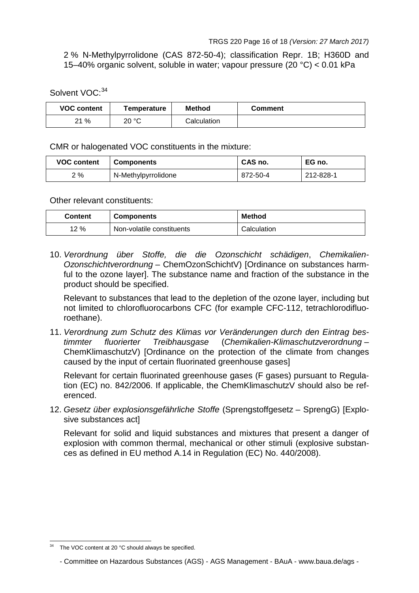2 % N-Methylpyrrolidone (CAS 872-50-4); classification Repr. 1B; H360D and 15–40% organic solvent, soluble in water; vapour pressure (20 °C) < 0.01 kPa

Solvent VOC: [34](#page-15-0)

| <b>VOC content</b> | Temperature | <b>Method</b> | Comment |
|--------------------|-------------|---------------|---------|
| ?1 %               | 20 °C       | Calculation   |         |

CMR or halogenated VOC constituents in the mixture:

| <b>VOC content</b> | <b>Components</b>   | CAS no.  | EG no.    |
|--------------------|---------------------|----------|-----------|
| 2%                 | N-Methylpyrrolidone | 872-50-4 | 212-828-1 |

Other relevant constituents:

| <b>Content</b> | <b>Components</b>         | <b>Method</b> |
|----------------|---------------------------|---------------|
| 12%            | Non-volatile constituents | Calculation   |

10. *Verordnung über Stoffe, die die Ozonschicht schädigen*, *Chemikalien-Ozonschichtverordnung* – ChemOzonSchichtV) [Ordinance on substances harmful to the ozone layer]. The substance name and fraction of the substance in the product should be specified.

Relevant to substances that lead to the depletion of the ozone layer, including but not limited to chlorofluorocarbons CFC (for example CFC-112, tetrachlorodifluoroethane).

11. *Verordnung zum Schutz des Klimas vor Veränderungen durch den Eintrag bestimmter fluorierter Treibhausgase* (*Chemikalien-Klimaschutzverordnung* – ChemKlimaschutzV) [Ordinance on the protection of the climate from changes caused by the input of certain fluorinated greenhouse gases]

Relevant for certain fluorinated greenhouse gases (F gases) pursuant to Regulation (EC) no. 842/2006. If applicable, the ChemKlimaschutzV should also be referenced.

12. *Gesetz über explosionsgefährliche Stoffe* (Sprengstoffgesetz – SprengG) [Explosive substances act]

Relevant for solid and liquid substances and mixtures that present a danger of explosion with common thermal, mechanical or other stimuli (explosive substances as defined in EU method A.14 in Regulation (EC) No. 440/2008).

<span id="page-15-0"></span><sup>&</sup>lt;sup>34</sup> The VOC content at 20 °C should always be specified.

<sup>-</sup> Committee on Hazardous Substances (AGS) - AGS Management - BAuA - [www.baua.de/ags -](http://www.baua.de/ags)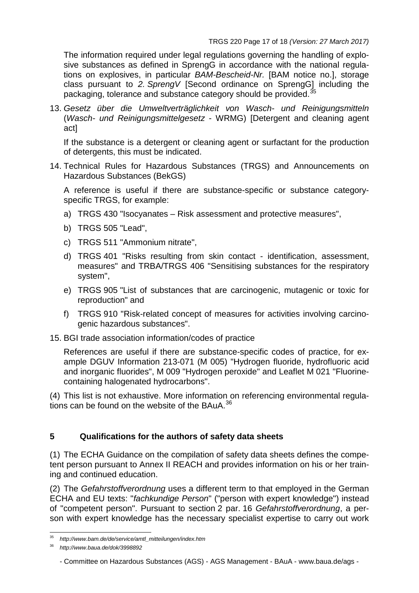The information required under legal regulations governing the handling of explosive substances as defined in SprengG in accordance with the national regulations on explosives, in particular *BAM-Bescheid-Nr.* [BAM notice no.], storage class pursuant to *2. SprengV* [Second ordinance on SprengG] including the packaging, tolerance and substance category should be provided.<sup>[35](#page-16-0)</sup>

13. *Gesetz über die Umweltverträglichkeit von Wasch- und Reinigungsmitteln* (*Wasch- und Reinigungsmittelgesetz* - WRMG) [Detergent and cleaning agent act]

If the substance is a detergent or cleaning agent or surfactant for the production of detergents, this must be indicated.

14. Technical Rules for Hazardous Substances (TRGS) and Announcements on Hazardous Substances (BekGS)

A reference is useful if there are substance-specific or substance categoryspecific TRGS, for example:

- a) TRGS 430 "Isocyanates Risk assessment and protective measures",
- b) TRGS 505 "Lead",
- c) TRGS 511 "Ammonium nitrate",
- d) TRGS 401 "Risks resulting from skin contact identification, assessment, measures" and TRBA/TRGS 406 "Sensitising substances for the respiratory system",
- e) TRGS 905 "List of substances that are carcinogenic, mutagenic or toxic for reproduction" and
- f) TRGS 910 "Risk-related concept of measures for activities involving carcinogenic hazardous substances".
- 15. BGI trade association information/codes of practice

References are useful if there are substance-specific codes of practice, for example DGUV Information 213-071 (M 005) "Hydrogen fluoride, hydrofluoric acid and inorganic fluorides", M 009 "Hydrogen peroxide" and Leaflet M 021 "Fluorinecontaining halogenated hydrocarbons".

(4) This list is not exhaustive. More information on referencing environmental regula-tions can be found on the website of the BAuA.<sup>[36](#page-16-1)</sup>

## **5 Qualifications for the authors of safety data sheets**

(1) The ECHA Guidance on the compilation of safety data sheets defines the competent person pursuant to Annex II REACH and provides information on his or her training and continued education.

(2) The *Gefahrstoffverordnung* uses a different term to that employed in the German ECHA and EU texts: "*fachkundige Person*" ("person with expert knowledge") instead of "competent person". Pursuant to section 2 par. 16 *Gefahrstoffverordnung*, a person with expert knowledge has the necessary specialist expertise to carry out work

<sup>35</sup> *[http://www.bam.de/de/service/amtl\\_mitteilungen/index.htm](http://www.bam.de/de/service/amtl_mitteilungen/index.htm)*

<span id="page-16-1"></span><span id="page-16-0"></span><sup>36</sup> *<http://www.baua.de/dok/3998892>*

<sup>-</sup> Committee on Hazardous Substances (AGS) - AGS Management - BAuA - [www.baua.de/ags -](http://www.baua.de/ags)